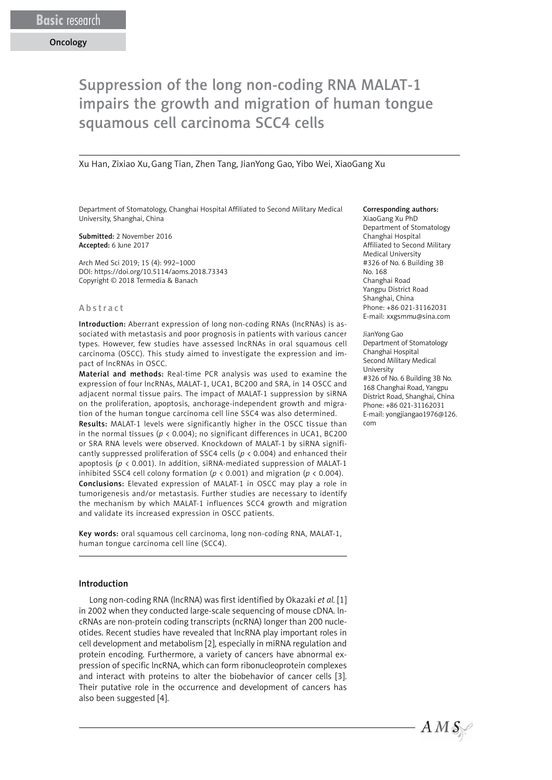# Suppression of the long non-coding RNA MALAT-1 impairs the growth and migration of human tongue squamous cell carcinoma SCC4 cells

Xu Han, Zixiao Xu,Gang Tian, Zhen Tang, JianYong Gao, Yibo Wei, XiaoGang Xu

Department of Stomatology, Changhai Hospital Affiliated to Second Military Medical University, Shanghai, China

Submitted: 2 November 2016 Accepted: 6 June 2017

Arch Med Sci 2019; 15 (4): 992–1000 DOI: https://doi.org/10.5114/aoms.2018.73343 Copyright © 2018 Termedia & Banach

#### Abstract

Introduction: Aberrant expression of long non-coding RNAs (lncRNAs) is associated with metastasis and poor prognosis in patients with various cancer types. However, few studies have assessed lncRNAs in oral squamous cell carcinoma (OSCC). This study aimed to investigate the expression and impact of lncRNAs in OSCC.

Material and methods: Real-time PCR analysis was used to examine the expression of four lncRNAs, MALAT-1, UCA1, BC200 and SRA, in 14 OSCC and adjacent normal tissue pairs. The impact of MALAT-1 suppression by siRNA on the proliferation, apoptosis, anchorage-independent growth and migration of the human tongue carcinoma cell line SSC4 was also determined. Results: MALAT-1 levels were significantly higher in the OSCC tissue than in the normal tissues (*p* < 0.004); no significant differences in UCA1, BC200 or SRA RNA levels were observed. Knockdown of MALAT-1 by siRNA significantly suppressed proliferation of SSC4 cells (*p* < 0.004) and enhanced their apoptosis ( $p < 0.001$ ). In addition, siRNA-mediated suppression of MALAT-1 inhibited SSC4 cell colony formation ( $p < 0.001$ ) and migration ( $p < 0.004$ ). Conclusions: Elevated expression of MALAT-1 in OSCC may play a role in tumorigenesis and/or metastasis. Further studies are necessary to identify the mechanism by which MALAT-1 influences SCC4 growth and migration and validate its increased expression in OSCC patients.

Key words: oral squamous cell carcinoma, long non-coding RNA, MALAT-1, human tongue carcinoma cell line (SCC4).

#### Introduction

Long non-coding RNA (lncRNA) was first identified by Okazaki *et al.* [1] in 2002 when they conducted large-scale sequencing of mouse cDNA. lncRNAs are non-protein coding transcripts (ncRNA) longer than 200 nucleotides. Recent studies have revealed that lncRNA play important roles in cell development and metabolism [2], especially in miRNA regulation and protein encoding. Furthermore, a variety of cancers have abnormal expression of specific lncRNA, which can form ribonucleoprotein complexes and interact with proteins to alter the biobehavior of cancer cells [3]. Their putative role in the occurrence and development of cancers has also been suggested [4].

#### Corresponding authors:

XiaoGang Xu PhD Department of Stomatology Changhai Hospital Affiliated to Second Military Medical University #326 of No. 6 Building 3B No. 168 Changhai Road Yangpu District Road Shanghai, China Phone: +86 021-31162031 E-mail: xxgsmmu@sina.com

JianYong Gao

Department of Stomatology Changhai Hospital Second Military Medical University #326 of No. 6 Building 3B No. 168 Changhai Road, Yangpu District Road, Shanghai, China Phone: +86 021-31162031 E-mail: yongjiangao1976@126. com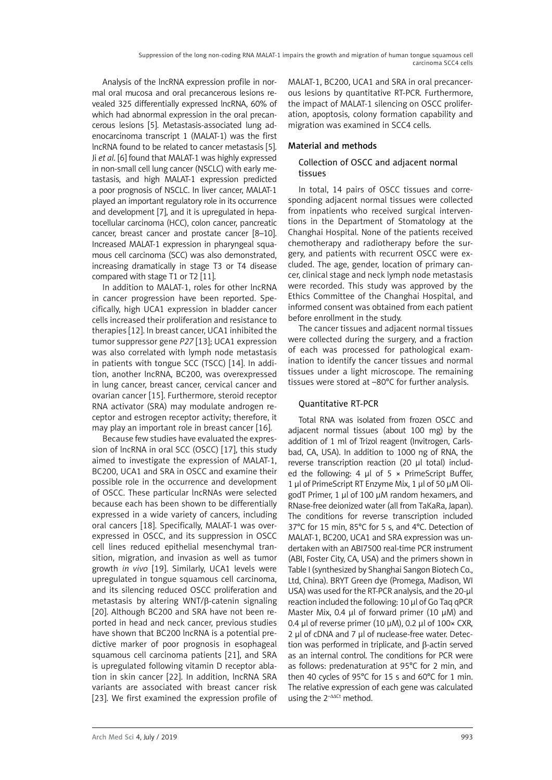Analysis of the lncRNA expression profile in normal oral mucosa and oral precancerous lesions revealed 325 differentially expressed lncRNA, 60% of which had abnormal expression in the oral precancerous lesions [5]. Metastasis-associated lung adenocarcinoma transcript 1 (MALAT-1) was the first lncRNA found to be related to cancer metastasis [5]. Ji *et al*. [6] found that MALAT-1 was highly expressed in non-small cell lung cancer (NSCLC) with early metastasis, and high MALAT-1 expression predicted a poor prognosis of NSCLC. In liver cancer, MALAT-1 played an important regulatory role in its occurrence and development [7], and it is upregulated in hepatocellular carcinoma (HCC), colon cancer, pancreatic cancer, breast cancer and prostate cancer [8–10]. Increased MALAT-1 expression in pharyngeal squamous cell carcinoma (SCC) was also demonstrated, increasing dramatically in stage T3 or T4 disease compared with stage T1 or T2 [11].

In addition to MALAT-1, roles for other lncRNA in cancer progression have been reported. Specifically, high UCA1 expression in bladder cancer cells increased their proliferation and resistance to therapies [12]. In breast cancer, UCA1 inhibited the tumor suppressor gene *P27* [13]; UCA1 expression was also correlated with lymph node metastasis in patients with tongue SCC (TSCC) [14]. In addition, another lncRNA, BC200, was overexpressed in lung cancer, breast cancer, cervical cancer and ovarian cancer [15]. Furthermore, steroid receptor RNA activator (SRA) may modulate androgen receptor and estrogen receptor activity; therefore, it may play an important role in breast cancer [16].

Because few studies have evaluated the expression of lncRNA in oral SCC (OSCC) [17], this study aimed to investigate the expression of MALAT-1, BC200, UCA1 and SRA in OSCC and examine their possible role in the occurrence and development of OSCC. These particular lncRNAs were selected because each has been shown to be differentially expressed in a wide variety of cancers, including oral cancers [18]. Specifically, MALAT-1 was overexpressed in OSCC, and its suppression in OSCC cell lines reduced epithelial mesenchymal transition, migration, and invasion as well as tumor growth *in vivo* [19]. Similarly, UCA1 levels were upregulated in tongue squamous cell carcinoma, and its silencing reduced OSCC proliferation and metastasis by altering WNT/β-catenin signaling [20]. Although BC200 and SRA have not been reported in head and neck cancer, previous studies have shown that BC200 lncRNA is a potential predictive marker of poor prognosis in esophageal squamous cell carcinoma patients [21], and SRA is upregulated following vitamin D receptor ablation in skin cancer [22]. In addition, lncRNA SRA variants are associated with breast cancer risk [23]. We first examined the expression profile of MALAT-1, BC200, UCA1 and SRA in oral precancerous lesions by quantitative RT-PCR. Furthermore, the impact of MALAT-1 silencing on OSCC proliferation, apoptosis, colony formation capability and migration was examined in SCC4 cells.

# Material and methods

# Collection of OSCC and adjacent normal tissues

In total, 14 pairs of OSCC tissues and corresponding adjacent normal tissues were collected from inpatients who received surgical interventions in the Department of Stomatology at the Changhai Hospital. None of the patients received chemotherapy and radiotherapy before the surgery, and patients with recurrent OSCC were excluded. The age, gender, location of primary cancer, clinical stage and neck lymph node metastasis were recorded. This study was approved by the Ethics Committee of the Changhai Hospital, and informed consent was obtained from each patient before enrollment in the study.

The cancer tissues and adjacent normal tissues were collected during the surgery, and a fraction of each was processed for pathological examination to identify the cancer tissues and normal tissues under a light microscope. The remaining tissues were stored at –80°C for further analysis.

# Quantitative RT-PCR

Total RNA was isolated from frozen OSCC and adjacent normal tissues (about 100 mg) by the addition of 1 ml of Trizol reagent (Invitrogen, Carlsbad, CA, USA). In addition to 1000 ng of RNA, the reverse transcription reaction (20 µl total) included the following: 4  $\mu$ l of 5 × PrimeScript Buffer, 1 µl of PrimeScript RT Enzyme Mix, 1 µl of 50 µM OligodT Primer, 1 µl of 100 µM random hexamers, and RNase-free deionized water (all from TaKaRa, Japan). The conditions for reverse transcription included 37°C for 15 min, 85°C for 5 s, and 4°C. Detection of MALAT-1, BC200, UCA1 and SRA expression was undertaken with an ABI7500 real-time PCR instrument (ABI, Foster City, CA, USA) and the primers shown in Table I (synthesized by Shanghai Sangon Biotech Co., Ltd, China). BRYT Green dye (Promega, Madison, WI USA) was used for the RT-PCR analysis, and the 20-µl reaction included the following: 10 µl of Go Taq qPCR Master Mix, 0.4 µl of forward primer (10 µM) and 0.4 µl of reverse primer (10  $\mu$ M), 0.2 µl of 100× CXR, 2 µl of cDNA and 7 µl of nuclease-free water. Detection was performed in triplicate, and β-actin served as an internal control. The conditions for PCR were as follows: predenaturation at 95°C for 2 min, and then 40 cycles of 95°C for 15 s and 60°C for 1 min. The relative expression of each gene was calculated using the  $2^{-\Delta\Delta Ct}$  method.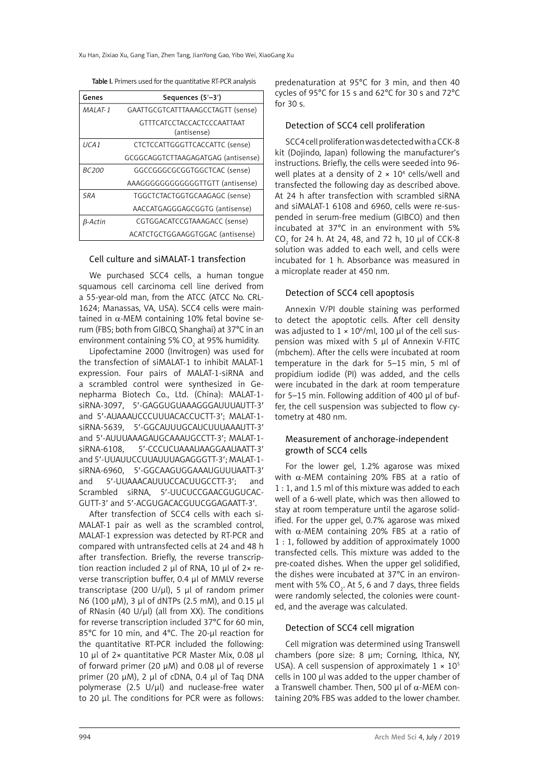| Genes         | Sequences (5'-3')                                |  |  |
|---------------|--------------------------------------------------|--|--|
| MAI AT-1      | GAATTGCGTCATTTAAAGCCTAGTT (sense)                |  |  |
|               | <b>GTTTCATCCTACCACTCCCAATTAAT</b><br>(antisense) |  |  |
| I ICA 1       | CTCTCCATTGGGTTCACCATTC (sense)                   |  |  |
|               | GCGGCAGGTCTTAAGAGATGAG (antisense)               |  |  |
| <i>BC 200</i> | GGCCGGGCGCGGTGGCTCAC (sense)                     |  |  |
|               | AAAGGGGGGGGGGGTTGTT (antisense)                  |  |  |
| <b>SRA</b>    | TGGCTCTACTGGTGCAAGAGC (sense)                    |  |  |
|               | AACCATGAGGGAGCGGTG (antisense)                   |  |  |
| B-Actin       | CGTGGACATCCGTAAAGACC (sense)                     |  |  |
|               | ACATCTGCTGGAAGGTGGAC (antisense)                 |  |  |

# Cell culture and siMALAT-1 transfection

We purchased SCC4 cells, a human tongue squamous cell carcinoma cell line derived from a 55-year-old man, from the ATCC (ATCC No. CRL-1624; Manassas, VA, USA). SCC4 cells were maintained in  $\alpha$ -MEM containing 10% fetal bovine serum (FBS; both from GIBCO, Shanghai) at 37°C in an environment containing 5% CO $_{2}$  at 95% humidity.

Lipofectamine 2000 (Invitrogen) was used for the transfection of siMALAT-1 to inhibit MALAT-1 expression. Four pairs of MALAT-1-siRNA and a scrambled control were synthesized in Genepharma Biotech Co., Ltd. (China): MALAT-1 siRNA-3097, 5′-GAGGUGUAAAGGGAUUUAUTT-3′ and 5′-AUAAAUCCCUUUACACCUCTT-3′; MALAT-1 siRNA-5639, 5′-GGCAUUUGCAUCUUUAAAUTT-3′ and 5′-AUUUAAAGAUGCAAAUGCCTT-3′; MALAT-1 siRNA-6108, 5′-CCCUCUAAAUAAGGAAUAATT-3′ and 5′-UUAUUCCUUAUUUAGAGGGTT-3′; MALAT-1 siRNA-6960, 5′-GGCAAGUGGAAAUGUUUAATT-3′ and 5′-UUAAACAUUUCCACUUGCCTT-3′; and Scrambled siRNA, 5′-UUCUCCGAACGUGUCAC-GUTT-3′ and 5′-ACGUGACACGUUCGGAGAATT-3′.

After transfection of SCC4 cells with each si-MALAT-1 pair as well as the scrambled control, MALAT-1 expression was detected by RT-PCR and compared with untransfected cells at 24 and 48 h after transfection. Briefly, the reverse transcription reaction included 2  $\mu$ l of RNA, 10  $\mu$ l of 2 $\times$  reverse transcription buffer, 0.4 µl of MMLV reverse transcriptase (200 U/ $\mu$ l), 5  $\mu$ l of random primer N6 (100 µM), 3 µl of dNTPs (2.5 mM), and 0.15 µl of RNasin (40 U/µl) (all from XX). The conditions for reverse transcription included 37°C for 60 min, 85°C for 10 min, and 4°C. The 20-µl reaction for the quantitative RT-PCR included the following: 10 µl of 2× quantitative PCR Master Mix, 0.08 µl of forward primer (20 µM) and 0.08 µl of reverse primer (20 µM), 2 µl of cDNA, 0.4 µl of Taq DNA polymerase (2.5 U/µl) and nuclease-free water to 20 µl. The conditions for PCR were as follows:

predenaturation at 95°C for 3 min, and then 40 cycles of 95°C for 15 s and 62°C for 30 s and 72°C for 30 s.

#### Detection of SCC4 cell proliferation

SCC4 cell proliferation was detected with a CCK-8 kit (Dojindo, Japan) following the manufacturer's instructions. Briefly, the cells were seeded into 96 well plates at a density of  $2 \times 10^4$  cells/well and transfected the following day as described above. At 24 h after transfection with scrambled siRNA and siMALAT-1 6108 and 6960, cells were re-suspended in serum-free medium (GIBCO) and then incubated at 37°C in an environment with 5%  $CO_2$  for 24 h. At 24, 48, and 72 h, 10  $\mu$ l of CCK-8 solution was added to each well, and cells were incubated for 1 h. Absorbance was measured in a microplate reader at 450 nm.

#### Detection of SCC4 cell apoptosis

Annexin V/PI double staining was performed to detect the apoptotic cells. After cell density was adjusted to  $1 \times 10^6$ /ml, 100 µl of the cell suspension was mixed with 5 µl of Annexin V-FITC (mbchem). After the cells were incubated at room temperature in the dark for 5–15 min, 5 ml of propidium iodide (PI) was added, and the cells were incubated in the dark at room temperature for 5–15 min. Following addition of 400 µl of buffer, the cell suspension was subjected to flow cytometry at 480 nm.

#### Measurement of anchorage-independent growth of SCC4 cells

For the lower gel, 1.2% agarose was mixed with  $α$ -MEM containing 20% FBS at a ratio of 1 : 1, and 1.5 ml of this mixture was added to each well of a 6-well plate, which was then allowed to stay at room temperature until the agarose solidified. For the upper gel, 0.7% agarose was mixed with α-MEM containing 20% FBS at a ratio of 1 : 1, followed by addition of approximately 1000 transfected cells. This mixture was added to the pre-coated dishes. When the upper gel solidified, the dishes were incubated at 37°C in an environment with 5% CO<sub>2</sub>. At 5, 6 and 7 days, three fields were randomly selected, the colonies were counted, and the average was calculated.

#### Detection of SCC4 cell migration

Cell migration was determined using Transwell chambers (pore size: 8 um; Corning, Ithica, NY, USA). A cell suspension of approximately  $1 \times 10^5$ cells in 100 µl was added to the upper chamber of a Transwell chamber. Then, 500 μl of  $α$ -MEM containing 20% FBS was added to the lower chamber.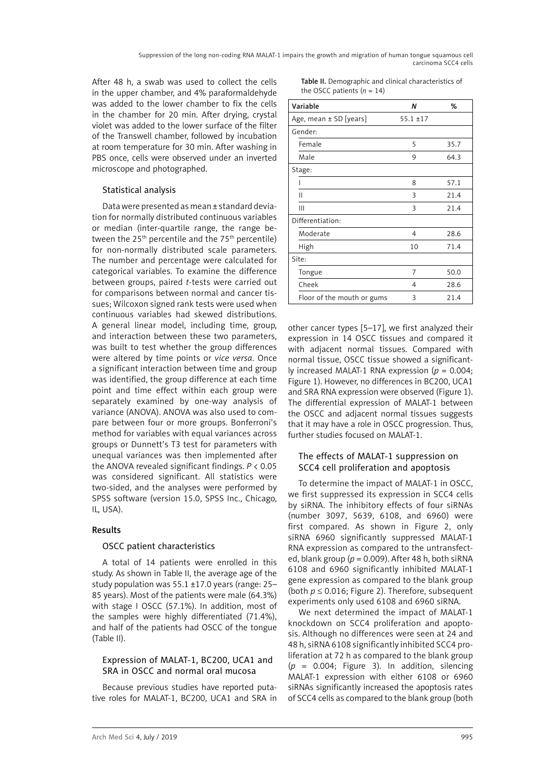After 48 h, a swab was used to collect the cells in the upper chamber, and 4% paraformaldehyde was added to the lower chamber to fix the cells in the chamber for 20 min. After drying, crystal violet was added to the lower surface of the filter of the Transwell chamber, followed by incubation at room temperature for 30 min. After washing in PBS once, cells were observed under an inverted microscope and photographed.

# Statistical analysis

Data were presented as mean ± standard deviation for normally distributed continuous variables or median (inter-quartile range, the range between the  $25<sup>th</sup>$  percentile and the  $75<sup>th</sup>$  percentile) for non-normally distributed scale parameters. The number and percentage were calculated for categorical variables. To examine the difference between groups, paired *t*-tests were carried out for comparisons between normal and cancer tissues; Wilcoxon signed rank tests were used when continuous variables had skewed distributions. A general linear model, including time, group, and interaction between these two parameters, was built to test whether the group differences were altered by time points or *vice versa*. Once a significant interaction between time and group was identified, the group difference at each time point and time effect within each group were separately examined by one-way analysis of variance (ANOVA). ANOVA was also used to compare between four or more groups. Bonferroni's method for variables with equal variances across groups or Dunnett's T3 test for parameters with unequal variances was then implemented after the ANOVA revealed significant findings. *P* < 0.05 was considered significant. All statistics were two-sided, and the analyses were performed by SPSS software (version 15.0, SPSS Inc., Chicago, IL, USA).

# Results

#### OSCC patient characteristics

A total of 14 patients were enrolled in this study. As shown in Table II, the average age of the study population was 55.1 ±17.0 years (range: 25– 85 years). Most of the patients were male (64.3%) with stage I OSCC (57.1%). In addition, most of the samples were highly differentiated (71.4%), and half of the patients had OSCC of the tongue (Table II).

## Expression of MALAT-1, BC200, UCA1 and SRA in OSCC and normal oral mucosa

Because previous studies have reported putative roles for MALAT-1, BC200, UCA1 and SRA in

| Table II. Demographic and clinical characteristics of |
|-------------------------------------------------------|
| the OSCC patients $(n = 14)$                          |

| Variable                   | Ν             | %    |
|----------------------------|---------------|------|
| Age, mean $\pm$ SD [years] | $55.1 \pm 17$ |      |
| Gender:                    |               |      |
| Female                     | 5             | 35.7 |
| Male                       | 9             | 64.3 |
| Stage:                     |               |      |
|                            | 8             | 57.1 |
| Ш                          | 3             | 21.4 |
| Ш                          | 3             | 21.4 |
| Differentiation:           |               |      |
| Moderate                   | 4             | 28.6 |
| High                       | 10            | 71.4 |
| Site:                      |               |      |
| Tongue                     | 7             | 50.0 |
| Cheek                      | 4             | 28.6 |
| Floor of the mouth or gums | 3             | 21.4 |

other cancer types [5–17], we first analyzed their expression in 14 OSCC tissues and compared it with adjacent normal tissues. Compared with normal tissue, OSCC tissue showed a significantly increased MALAT-1 RNA expression (*p* = 0.004; Figure 1). However, no differences in BC200, UCA1 and SRA RNA expression were observed (Figure 1). The differential expression of MALAT-1 between the OSCC and adjacent normal tissues suggests that it may have a role in OSCC progression. Thus, further studies focused on MALAT-1.

## The effects of MALAT-1 suppression on SCC4 cell proliferation and apoptosis

To determine the impact of MALAT-1 in OSCC, we first suppressed its expression in SCC4 cells by siRNA. The inhibitory effects of four siRNAs (number 3097, 5639, 6108, and 6960) were first compared. As shown in Figure 2, only siRNA 6960 significantly suppressed MALAT-1 RNA expression as compared to the untransfected, blank group ( $p = 0.009$ ). After 48 h, both siRNA 6108 and 6960 significantly inhibited MALAT-1 gene expression as compared to the blank group (both *p* ≤ 0.016; Figure 2). Therefore, subsequent experiments only used 6108 and 6960 siRNA.

We next determined the impact of MALAT-1 knockdown on SCC4 proliferation and apoptosis. Although no differences were seen at 24 and 48 h, siRNA 6108 significantly inhibited SCC4 proliferation at 72 h as compared to the blank group (*p* = 0.004; Figure 3). In addition, silencing MALAT-1 expression with either 6108 or 6960 siRNAs significantly increased the apoptosis rates of SCC4 cells as compared to the blank group (both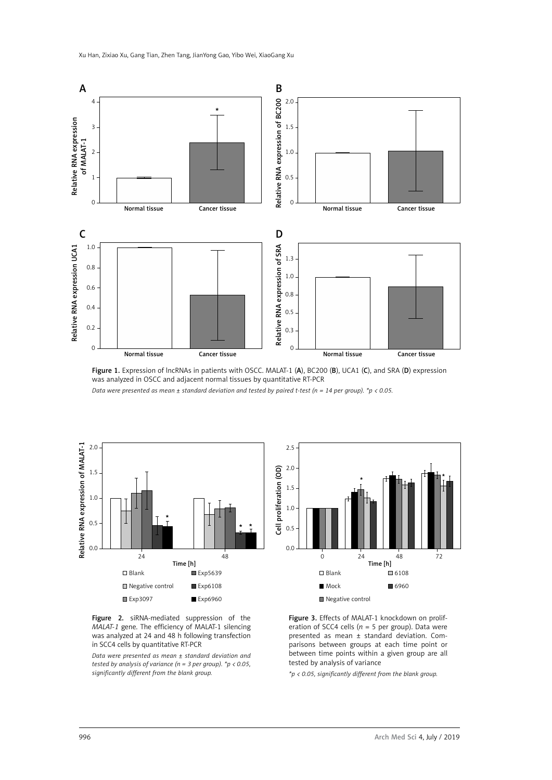

Figure 1. Expression of lncRNAs in patients with OSCC. MALAT-1 (A), BC200 (B), UCA1 (C), and SRA (D) expression was analyzed in OSCC and adjacent normal tissues by quantitative RT-PCR

*Data were presented as mean ± standard deviation and tested by paired t-test (n = 14 per group). \*p < 0.05.*



*tested by analysis of variance (n = 3 per group). \*p < 0.05,* 

*significantly different from the blank group.*



Figure 3. Effects of MALAT-1 knockdown on proliferation of SCC4 cells ( $n = 5$  per group). Data were presented as mean ± standard deviation. Comparisons between groups at each time point or between time points within a given group are all tested by analysis of variance

*\*p < 0.05, significantly different from the blank group.*

Figure 2. siRNA-mediated suppression of the *MALAT-1* gene. The efficiency of MALAT-1 silencing was analyzed at 24 and 48 h following transfection in SCC4 cells by quantitative RT-PCR *Data were presented as mean ± standard deviation and*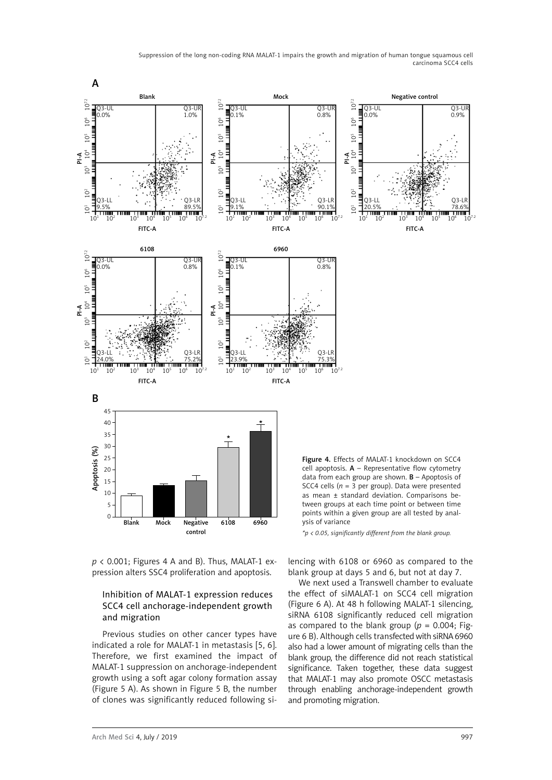Suppression of the long non-coding RNA MALAT-1 impairs the growth and migration of human tongue squamous cell carcinoma SCC4 cells



*p* < 0.001; Figures 4 A and B). Thus, MALAT-1 expression alters SSC4 proliferation and apoptosis.

# Inhibition of MALAT-1 expression reduces SCC4 cell anchorage-independent growth and migration

Previous studies on other cancer types have indicated a role for MALAT-1 in metastasis [5, 6]. Therefore, we first examined the impact of MALAT-1 suppression on anchorage-independent growth using a soft agar colony formation assay (Figure 5 A). As shown in Figure 5 B, the number of clones was significantly reduced following silencing with 6108 or 6960 as compared to the blank group at days 5 and 6, but not at day 7.

We next used a Transwell chamber to evaluate the effect of siMALAT-1 on SCC4 cell migration (Figure 6 A). At 48 h following MALAT-1 silencing, siRNA 6108 significantly reduced cell migration as compared to the blank group ( $p = 0.004$ ; Figure 6 B). Although cells transfected with siRNA 6960 also had a lower amount of migrating cells than the blank group, the difference did not reach statistical significance. Taken together, these data suggest that MALAT-1 may also promote OSCC metastasis through enabling anchorage-independent growth and promoting migration.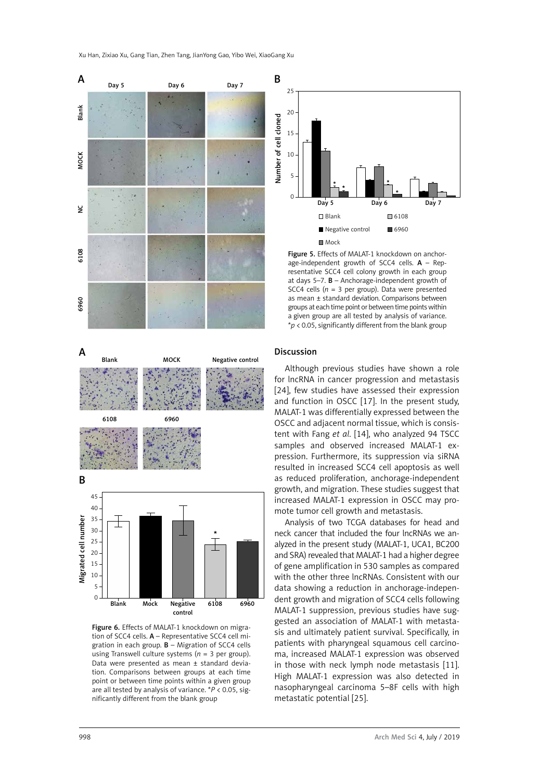Xu Han, Zixiao Xu, Gang Tian, Zhen Tang, JianYong Gao, Yibo Wei, XiaoGang Xu









Figure 6. Effects of MALAT-1 knockdown on migration of SCC4 cells. A – Representative SCC4 cell migration in each group.  $B -$  Migration of SCC4 cells using Transwell culture systems (*n* = 3 per group). Data were presented as mean ± standard deviation. Comparisons between groups at each time point or between time points within a given group are all tested by analysis of variance. \**P* < 0.05, significantly different from the blank group



Figure 5. Effects of MALAT-1 knockdown on anchorage-independent growth of SCC4 cells.  $A - Rep$ resentative SCC4 cell colony growth in each group at days 5–7. B – Anchorage-independent growth of SCC4 cells ( $n = 3$  per group). Data were presented as mean ± standard deviation. Comparisons between groups at each time point or between time points within a given group are all tested by analysis of variance. \**p* < 0.05, significantly different from the blank group

#### Discussion

Although previous studies have shown a role for lncRNA in cancer progression and metastasis [24], few studies have assessed their expression and function in OSCC [17]. In the present study, MALAT-1 was differentially expressed between the OSCC and adjacent normal tissue, which is consistent with Fang *et al*. [14], who analyzed 94 TSCC samples and observed increased MALAT-1 expression. Furthermore, its suppression via siRNA resulted in increased SCC4 cell apoptosis as well as reduced proliferation, anchorage-independent growth, and migration. These studies suggest that increased MALAT-1 expression in OSCC may promote tumor cell growth and metastasis.

Analysis of two TCGA databases for head and neck cancer that included the four lncRNAs we analyzed in the present study (MALAT-1, UCA1, BC200 and SRA) revealed that MALAT-1 had a higher degree of gene amplification in 530 samples as compared with the other three lncRNAs. Consistent with our data showing a reduction in anchorage-independent growth and migration of SCC4 cells following MALAT-1 suppression, previous studies have suggested an association of MALAT-1 with metastasis and ultimately patient survival. Specifically, in patients with pharyngeal squamous cell carcinoma, increased MALAT-1 expression was observed in those with neck lymph node metastasis [11]. High MALAT-1 expression was also detected in nasopharyngeal carcinoma 5–8F cells with high metastatic potential [25].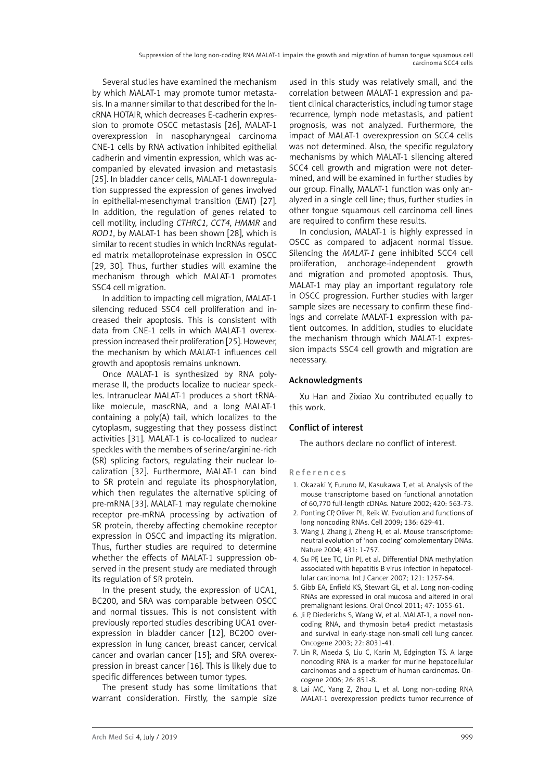Several studies have examined the mechanism by which MALAT-1 may promote tumor metastasis. In a manner similar to that described for the lncRNA HOTAIR, which decreases E-cadherin expression to promote OSCC metastasis [26], MALAT-1 overexpression in nasopharyngeal carcinoma CNE-1 cells by RNA activation inhibited epithelial cadherin and vimentin expression, which was accompanied by elevated invasion and metastasis [25]. In bladder cancer cells, MALAT-1 downregulation suppressed the expression of genes involved in epithelial-mesenchymal transition (EMT) [27]. In addition, the regulation of genes related to cell motility, including *CTHRC1*, *CCT4*, *HMMR* and *ROD1*, by MALAT-1 has been shown [28], which is similar to recent studies in which lncRNAs regulated matrix metalloproteinase expression in OSCC [29, 30]. Thus, further studies will examine the mechanism through which MALAT-1 promotes SSC4 cell migration.

In addition to impacting cell migration, MALAT-1 silencing reduced SSC4 cell proliferation and increased their apoptosis. This is consistent with data from CNE-1 cells in which MALAT-1 overexpression increased their proliferation [25]. However, the mechanism by which MALAT-1 influences cell growth and apoptosis remains unknown.

Once MALAT-1 is synthesized by RNA polymerase II, the products localize to nuclear speckles. Intranuclear MALAT-1 produces a short tRNAlike molecule, mascRNA, and a long MALAT-1 containing a poly(A) tail, which localizes to the cytoplasm, suggesting that they possess distinct activities [31]. MALAT-1 is co-localized to nuclear speckles with the members of serine/arginine-rich (SR) splicing factors, regulating their nuclear localization [32]. Furthermore, MALAT-1 can bind to SR protein and regulate its phosphorylation, which then regulates the alternative splicing of pre-mRNA [33]. MALAT-1 may regulate chemokine receptor pre-mRNA processing by activation of SR protein, thereby affecting chemokine receptor expression in OSCC and impacting its migration. Thus, further studies are required to determine whether the effects of MALAT-1 suppression observed in the present study are mediated through its regulation of SR protein.

In the present study, the expression of UCA1, BC200, and SRA was comparable between OSCC and normal tissues. This is not consistent with previously reported studies describing UCA1 overexpression in bladder cancer [12], BC200 overexpression in lung cancer, breast cancer, cervical cancer and ovarian cancer [15]; and SRA overexpression in breast cancer [16]. This is likely due to specific differences between tumor types.

The present study has some limitations that warrant consideration. Firstly, the sample size used in this study was relatively small, and the correlation between MALAT-1 expression and patient clinical characteristics, including tumor stage recurrence, lymph node metastasis, and patient prognosis, was not analyzed. Furthermore, the impact of MALAT-1 overexpression on SCC4 cells was not determined. Also, the specific regulatory mechanisms by which MALAT-1 silencing altered SCC4 cell growth and migration were not determined, and will be examined in further studies by our group. Finally, MALAT-1 function was only analyzed in a single cell line; thus, further studies in other tongue squamous cell carcinoma cell lines are required to confirm these results.

In conclusion, MALAT-1 is highly expressed in OSCC as compared to adjacent normal tissue. Silencing the *MALAT-1* gene inhibited SCC4 cell proliferation, anchorage-independent growth and migration and promoted apoptosis. Thus, MALAT-1 may play an important regulatory role in OSCC progression. Further studies with larger sample sizes are necessary to confirm these findings and correlate MALAT-1 expression with patient outcomes. In addition, studies to elucidate the mechanism through which MALAT-1 expression impacts SSC4 cell growth and migration are necessary.

# Acknowledgments

Xu Han and Zixiao Xu contributed equally to this work.

# Conflict of interest

The authors declare no conflict of interest.

#### References

- 1. [Okazaki Y](http://www.ncbi.nlm.nih.gov/pubmed/?term=Okazaki Y%5BAuthor%5D&cauthor=true&cauthor_uid=12466851), [Furuno M,](http://www.ncbi.nlm.nih.gov/pubmed/?term=Furuno M%5BAuthor%5D&cauthor=true&cauthor_uid=12466851) [Kasukawa T](http://www.ncbi.nlm.nih.gov/pubmed/?term=Kasukawa T%5BAuthor%5D&cauthor=true&cauthor_uid=12466851), et al. Analysis of the mouse transcriptome based on functional annotation of 60,770 full-length cDNAs. Nature 2002; 420: 563-73.
- 2. Ponting CP, Oliver PL, Reik W. Evolution and functions of long noncoding RNAs. Cell 2009; 136: 629-41.
- 3. [Wang J](http://www.ncbi.nlm.nih.gov/pubmed/?term=Wang J%5BAuthor%5D&cauthor=true&cauthor_uid=15495343), [Zhang J](http://www.ncbi.nlm.nih.gov/pubmed/?term=Zhang J%5BAuthor%5D&cauthor=true&cauthor_uid=15495343), [Zheng H](http://www.ncbi.nlm.nih.gov/pubmed/?term=Zheng H%5BAuthor%5D&cauthor=true&cauthor_uid=15495343), et al. Mouse transcriptome: neutral evolution of 'non-coding' complementary DNAs. Nature 2004; 431: 1-757.
- 4. [Su PF,](http://www.ncbi.nlm.nih.gov/pubmed/?term=Su PF%5BAuthor%5D&cauthor=true&cauthor_uid=17534893) [Lee TC,](http://www.ncbi.nlm.nih.gov/pubmed/?term=Lee TC%5BAuthor%5D&cauthor=true&cauthor_uid=17534893) [Lin PJ,](http://www.ncbi.nlm.nih.gov/pubmed/?term=Lin PJ%5BAuthor%5D&cauthor=true&cauthor_uid=17534893) et al. Differential DNA methylation associated with hepatitis B virus infection in hepatocellular carcinoma. Int J Cancer 2007; 121: 1257-64.
- 5. [Gibb EA](http://www.ncbi.nlm.nih.gov/pubmed/?term=Gibb EA%5BAuthor%5D&cauthor=true&cauthor_uid=21835683), [Enfield KS](http://www.ncbi.nlm.nih.gov/pubmed/?term=Enfield KS%5BAuthor%5D&cauthor=true&cauthor_uid=21835683), [Stewart GL](http://www.ncbi.nlm.nih.gov/pubmed/?term=Stewart GL%5BAuthor%5D&cauthor=true&cauthor_uid=21835683), et al. Long non-coding RNAs are expressed in oral mucosa and altered in oral premalignant lesions. Oral Oncol 2011; 47: 1055-61.
- 6. [Ji P](http://www.ncbi.nlm.nih.gov/pubmed/?term=Ji P%5BAuthor%5D&cauthor=true&cauthor_uid=12970751), [Diederichs S](http://www.ncbi.nlm.nih.gov/pubmed/?term=Diederichs S%5BAuthor%5D&cauthor=true&cauthor_uid=12970751), [Wang W,](http://www.ncbi.nlm.nih.gov/pubmed/?term=Wang W%5BAuthor%5D&cauthor=true&cauthor_uid=12970751) et al. MALAT-1, a novel noncoding RNA, and thymosin beta4 predict metastasis and survival in early-stage non-small cell lung cancer. Oncogene 2003; 22: 8031-41.
- 7. Lin R, Maeda S, Liu C, Karin M, Edgington TS. A large noncoding RNA is a marker for murine hepatocellular carcinomas and a spectrum of human carcinomas. Oncogene 2006; 26: 851-8.
- 8. [Lai MC,](http://www.ncbi.nlm.nih.gov/pubmed/?term=Lai MC%5BAuthor%5D&cauthor=true&cauthor_uid=21678027) [Yang Z](http://www.ncbi.nlm.nih.gov/pubmed/?term=Yang Z%5BAuthor%5D&cauthor=true&cauthor_uid=21678027), [Zhou L](http://www.ncbi.nlm.nih.gov/pubmed/?term=Zhou L%5BAuthor%5D&cauthor=true&cauthor_uid=21678027), et al. Long non-coding RNA MALAT-1 overexpression predicts tumor recurrence of